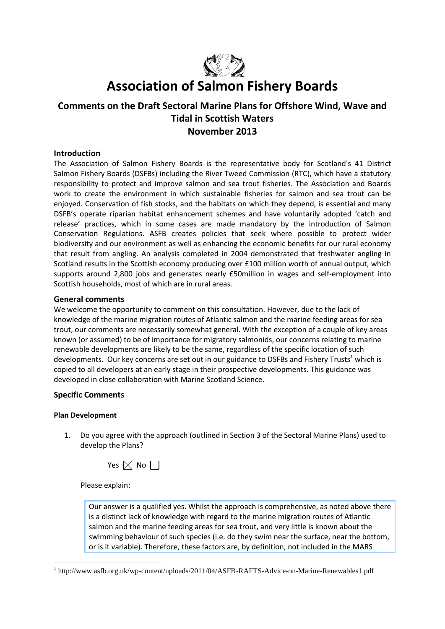

# **Association of Salmon Fishery Boards**

# **Comments on the Draft Sectoral Marine Plans for Offshore Wind, Wave and Tidal in Scottish Waters November 2013**

#### **Introduction**

The Association of Salmon Fishery Boards is the representative body for Scotland's 41 District Salmon Fishery Boards (DSFBs) including the River Tweed Commission (RTC), which have a statutory responsibility to protect and improve salmon and sea trout fisheries. The Association and Boards work to create the environment in which sustainable fisheries for salmon and sea trout can be enjoyed. Conservation of fish stocks, and the habitats on which they depend, is essential and many DSFB's operate riparian habitat enhancement schemes and have voluntarily adopted 'catch and release' practices, which in some cases are made mandatory by the introduction of Salmon Conservation Regulations. ASFB creates policies that seek where possible to protect wider biodiversity and our environment as well as enhancing the economic benefits for our rural economy that result from angling. An analysis completed in 2004 demonstrated that freshwater angling in Scotland results in the Scottish economy producing over £100 million worth of annual output, which supports around 2,800 jobs and generates nearly £50million in wages and self-employment into Scottish households, most of which are in rural areas.

#### **General comments**

We welcome the opportunity to comment on this consultation. However, due to the lack of knowledge of the marine migration routes of Atlantic salmon and the marine feeding areas for sea trout, our comments are necessarily somewhat general. With the exception of a couple of key areas known (or assumed) to be of importance for migratory salmonids, our concerns relating to marine renewable developments are likely to be the same, regardless of the specific location of such developments. Our key concerns are set out in our guidance to DSFBs and Fishery Trusts<sup>1</sup> which is copied to all developers at an early stage in their prospective developments. This guidance was developed in close collaboration with Marine Scotland Science.

### **Specific Comments**

#### **Plan Development**

1

1. Do you agree with the approach (outlined in Section 3 of the Sectoral Marine Plans) used to develop the Plans?



Please explain:

Our answer is a qualified yes. Whilst the approach is comprehensive, as noted above there is a distinct lack of knowledge with regard to the marine migration routes of Atlantic salmon and the marine feeding areas for sea trout, and very little is known about the swimming behaviour of such species (i.e. do they swim near the surface, near the bottom, or is it variable). Therefore, these factors are, by definition, not included in the MARS

<sup>&</sup>lt;sup>1</sup> http://www.asfb.org.uk/wp-content/uploads/2011/04/ASFB-RAFTS-Advice-on-Marine-Renewables1.pdf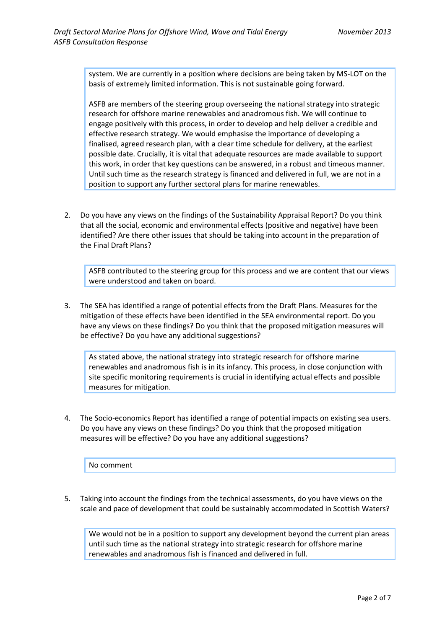system. We are currently in a position where decisions are being taken by MS-LOT on the basis of extremely limited information. This is not sustainable going forward.

ASFB are members of the steering group overseeing the national strategy into strategic research for offshore marine renewables and anadromous fish. We will continue to engage positively with this process, in order to develop and help deliver a credible and effective research strategy. We would emphasise the importance of developing a finalised, agreed research plan, with a clear time schedule for delivery, at the earliest possible date. Crucially, it is vital that adequate resources are made available to support this work, in order that key questions can be answered, in a robust and timeous manner. Until such time as the research strategy is financed and delivered in full, we are not in a position to support any further sectoral plans for marine renewables.

2. Do you have any views on the findings of the Sustainability Appraisal Report? Do you think that all the social, economic and environmental effects (positive and negative) have been identified? Are there other issues that should be taking into account in the preparation of the Final Draft Plans?

ASFB contributed to the steering group for this process and we are content that our views were understood and taken on board.

3. The SEA has identified a range of potential effects from the Draft Plans. Measures for the mitigation of these effects have been identified in the SEA environmental report. Do you have any views on these findings? Do you think that the proposed mitigation measures will be effective? Do you have any additional suggestions?

As stated above, the national strategy into strategic research for offshore marine renewables and anadromous fish is in its infancy. This process, in close conjunction with site specific monitoring requirements is crucial in identifying actual effects and possible measures for mitigation.

4. The Socio-economics Report has identified a range of potential impacts on existing sea users. Do you have any views on these findings? Do you think that the proposed mitigation measures will be effective? Do you have any additional suggestions?

No comment

5. Taking into account the findings from the technical assessments, do you have views on the scale and pace of development that could be sustainably accommodated in Scottish Waters?

We would not be in a position to support any development beyond the current plan areas until such time as the national strategy into strategic research for offshore marine renewables and anadromous fish is financed and delivered in full.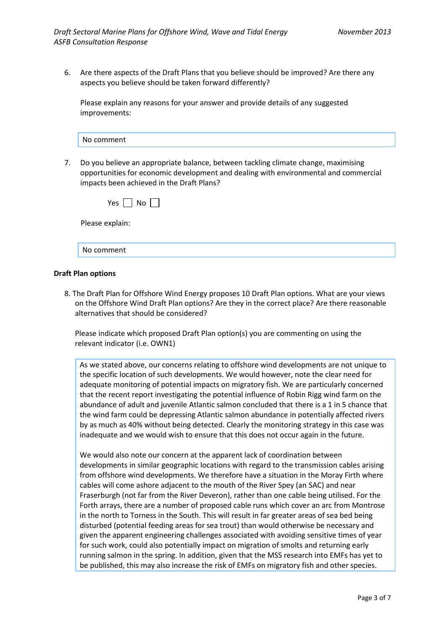6. Are there aspects of the Draft Plans that you believe should be improved? Are there any aspects you believe should be taken forward differently?

Please explain any reasons for your answer and provide details of any suggested improvements:

7. Do you believe an appropriate balance, between tackling climate change, maximising opportunities for economic development and dealing with environmental and commercial impacts been achieved in the Draft Plans?

| Yes $\Box$<br>$No$ |  |  |
|--------------------|--|--|
| Please explain:    |  |  |
| No comment         |  |  |

#### **Draft Plan options**

8. The Draft Plan for Offshore Wind Energy proposes 10 Draft Plan options. What are your views on the Offshore Wind Draft Plan options? Are they in the correct place? Are there reasonable alternatives that should be considered?

Please indicate which proposed Draft Plan option(s) you are commenting on using the relevant indicator (i.e. OWN1)

As we stated above, our concerns relating to offshore wind developments are not unique to the specific location of such developments. We would however, note the clear need for adequate monitoring of potential impacts on migratory fish. We are particularly concerned that the recent report investigating the potential influence of Robin Rigg wind farm on the abundance of adult and juvenile Atlantic salmon concluded that there is a 1 in 5 chance that the wind farm could be depressing Atlantic salmon abundance in potentially affected rivers by as much as 40% without being detected. Clearly the monitoring strategy in this case was inadequate and we would wish to ensure that this does not occur again in the future.

We would also note our concern at the apparent lack of coordination between developments in similar geographic locations with regard to the transmission cables arising from offshore wind developments. We therefore have a situation in the Moray Firth where cables will come ashore adjacent to the mouth of the River Spey (an SAC) and near Fraserburgh (not far from the River Deveron), rather than one cable being utilised. For the Forth arrays, there are a number of proposed cable runs which cover an arc from Montrose in the north to Torness in the South. This will result in far greater areas of sea bed being disturbed (potential feeding areas for sea trout) than would otherwise be necessary and given the apparent engineering challenges associated with avoiding sensitive times of year for such work, could also potentially impact on migration of smolts and returning early running salmon in the spring. In addition, given that the MSS research into EMFs has yet to be published, this may also increase the risk of EMFs on migratory fish and other species.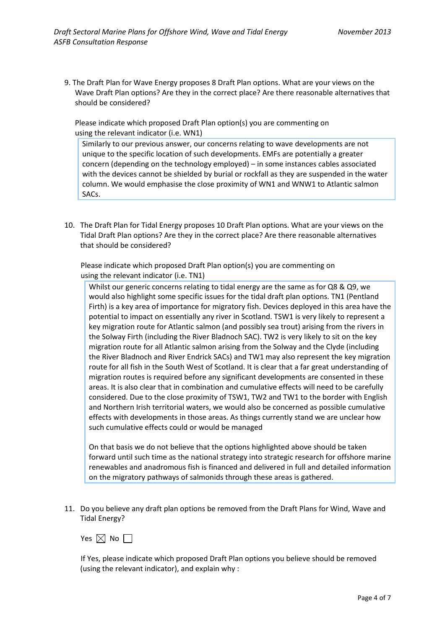9. The Draft Plan for Wave Energy proposes 8 Draft Plan options. What are your views on the Wave Draft Plan options? Are they in the correct place? Are there reasonable alternatives that should be considered?

Please indicate which proposed Draft Plan option(s) you are commenting on using the relevant indicator (i.e. WN1)

Similarly to our previous answer, our concerns relating to wave developments are not unique to the specific location of such developments. EMFs are potentially a greater concern (depending on the technology employed) – in some instances cables associated with the devices cannot be shielded by burial or rockfall as they are suspended in the water column. We would emphasise the close proximity of WN1 and WNW1 to Atlantic salmon SACs.

10. The Draft Plan for Tidal Energy proposes 10 Draft Plan options. What are your views on the Tidal Draft Plan options? Are they in the correct place? Are there reasonable alternatives that should be considered?

Please indicate which proposed Draft Plan option(s) you are commenting on using the relevant indicator (i.e. TN1)

Whilst our generic concerns relating to tidal energy are the same as for Q8 & Q9, we would also highlight some specific issues for the tidal draft plan options. TN1 (Pentland Firth) is a key area of importance for migratory fish. Devices deployed in this area have the potential to impact on essentially any river in Scotland. TSW1 is very likely to represent a key migration route for Atlantic salmon (and possibly sea trout) arising from the rivers in the Solway Firth (including the River Bladnoch SAC). TW2 is very likely to sit on the key migration route for all Atlantic salmon arising from the Solway and the Clyde (including the River Bladnoch and River Endrick SACs) and TW1 may also represent the key migration route for all fish in the South West of Scotland. It is clear that a far great understanding of migration routes is required before any significant developments are consented in these areas. It is also clear that in combination and cumulative effects will need to be carefully considered. Due to the close proximity of TSW1, TW2 and TW1 to the border with English and Northern Irish territorial waters, we would also be concerned as possible cumulative effects with developments in those areas. As things currently stand we are unclear how such cumulative effects could or would be managed

On that basis we do not believe that the options highlighted above should be taken forward until such time as the national strategy into strategic research for offshore marine renewables and anadromous fish is financed and delivered in full and detailed information on the migratory pathways of salmonids through these areas is gathered.

11. Do you believe any draft plan options be removed from the Draft Plans for Wind, Wave and Tidal Energy?

Yes  $\boxtimes$  No  $\Box$ 

If Yes, please indicate which proposed Draft Plan options you believe should be removed (using the relevant indicator), and explain why :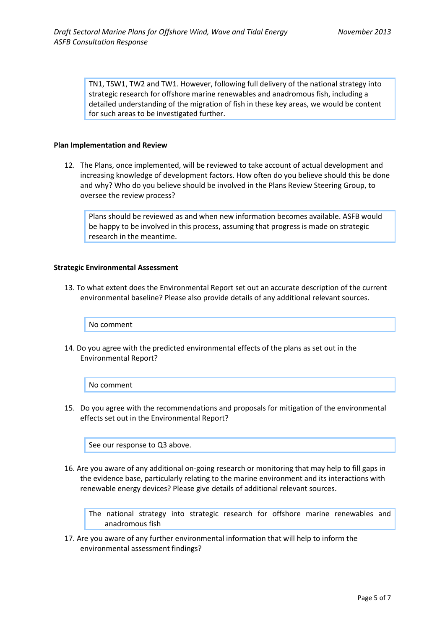TN1, TSW1, TW2 and TW1. However, following full delivery of the national strategy into strategic research for offshore marine renewables and anadromous fish, including a detailed understanding of the migration of fish in these key areas, we would be content for such areas to be investigated further.

#### **Plan Implementation and Review**

12. The Plans, once implemented, will be reviewed to take account of actual development and increasing knowledge of development factors. How often do you believe should this be done and why? Who do you believe should be involved in the Plans Review Steering Group, to oversee the review process?

Plans should be reviewed as and when new information becomes available. ASFB would be happy to be involved in this process, assuming that progress is made on strategic research in the meantime.

#### **Strategic Environmental Assessment**

13. To what extent does the Environmental Report set out an accurate description of the current environmental baseline? Please also provide details of any additional relevant sources.

No comment

14. Do you agree with the predicted environmental effects of the plans as set out in the Environmental Report?

No comment

15. Do you agree with the recommendations and proposals for mitigation of the environmental effects set out in the Environmental Report?

See our response to Q3 above.

16. Are you aware of any additional on-going research or monitoring that may help to fill gaps in the evidence base, particularly relating to the marine environment and its interactions with renewable energy devices? Please give details of additional relevant sources.

The national strategy into strategic research for offshore marine renewables and anadromous fish

17. Are you aware of any further environmental information that will help to inform the environmental assessment findings?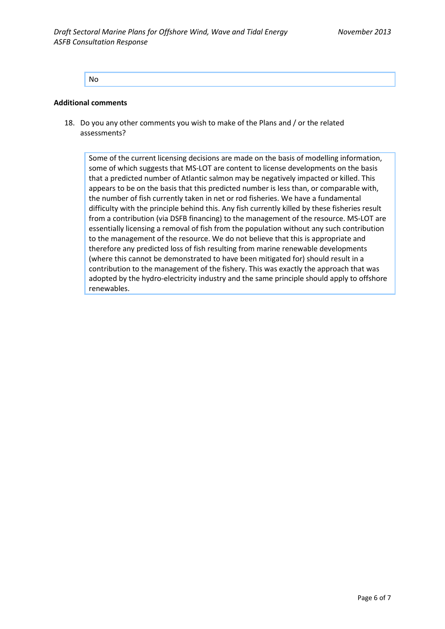No

#### **Additional comments**

18. Do you any other comments you wish to make of the Plans and / or the related assessments?

Some of the current licensing decisions are made on the basis of modelling information, some of which suggests that MS-LOT are content to license developments on the basis that a predicted number of Atlantic salmon may be negatively impacted or killed. This appears to be on the basis that this predicted number is less than, or comparable with, the number of fish currently taken in net or rod fisheries. We have a fundamental difficulty with the principle behind this. Any fish currently killed by these fisheries result from a contribution (via DSFB financing) to the management of the resource. MS-LOT are essentially licensing a removal of fish from the population without any such contribution to the management of the resource. We do not believe that this is appropriate and therefore any predicted loss of fish resulting from marine renewable developments (where this cannot be demonstrated to have been mitigated for) should result in a contribution to the management of the fishery. This was exactly the approach that was adopted by the hydro-electricity industry and the same principle should apply to offshore renewables.